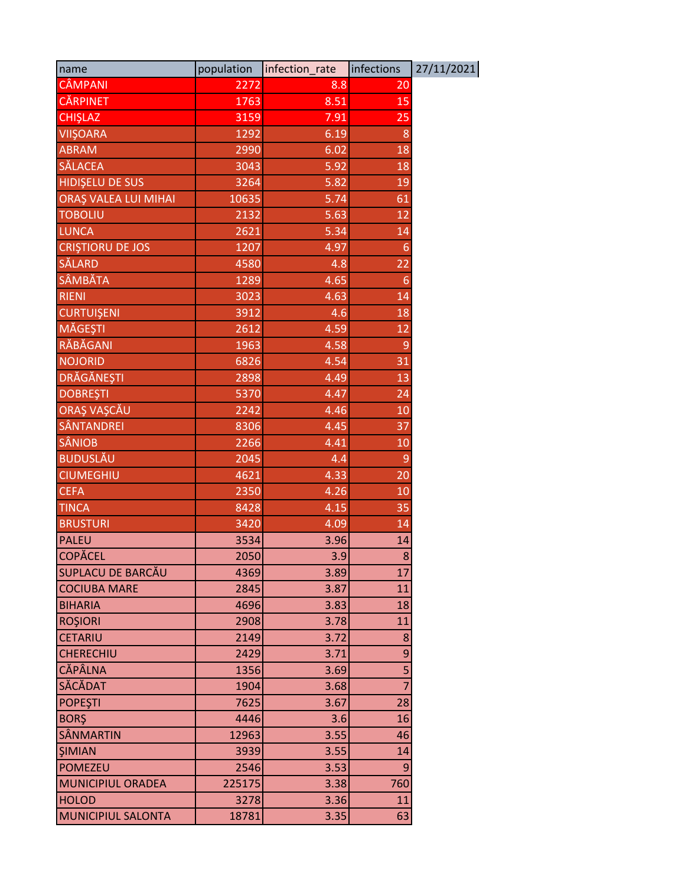| name                        | population | infection_rate | infections     | 27/11/2021 |
|-----------------------------|------------|----------------|----------------|------------|
| <b>CÂMPANI</b>              | 2272       | 8.8            | 20             |            |
| <b>CĂRPINET</b>             | 1763       | 8.51           | 15             |            |
| <b>CHISLAZ</b>              | 3159       | 7.91           | 25             |            |
| <b>VIIŞOARA</b>             | 1292       | 6.19           | 8              |            |
| <b>ABRAM</b>                | 2990       | 6.02           | 18             |            |
| <b>SĂLACEA</b>              | 3043       | 5.92           | 18             |            |
| <b>HIDIŞELU DE SUS</b>      | 3264       | 5.82           | 19             |            |
| <b>ORAȘ VALEA LUI MIHAI</b> | 10635      | 5.74           | 61             |            |
| <b>TOBOLIU</b>              | 2132       | 5.63           | 12             |            |
| <b>LUNCA</b>                | 2621       | 5.34           | 14             |            |
| <b>CRISTIORU DE JOS</b>     | 1207       | 4.97           | 6              |            |
| SĂLARD                      | 4580       | 4.8            | 22             |            |
| <b>SÂMBĂTA</b>              | 1289       | 4.65           | 6              |            |
| <b>RIENI</b>                | 3023       | 4.63           | 14             |            |
| <b>CURTUISENI</b>           | 3912       | 4.6            | 18             |            |
| MĂGEȘTI                     | 2612       | 4.59           | 12             |            |
| RĂBĂGANI                    | 1963       | 4.58           | 9              |            |
| <b>NOJORID</b>              | 6826       | 4.54           | 31             |            |
| DRĂGĂNEȘTI                  | 2898       | 4.49           | 13             |            |
| <b>DOBREŞTI</b>             | 5370       | 4.47           | 24             |            |
| ORAȘ VAȘCĂU                 | 2242       | 4.46           | 10             |            |
| SÂNTANDREI                  | 8306       | 4.45           | 37             |            |
| <b>SÂNIOB</b>               | 2266       | 4.41           | 10             |            |
| <b>BUDUSLĂU</b>             | 2045       | 4.4            | 9              |            |
| <b>CIUMEGHIU</b>            | 4621       | 4.33           | 20             |            |
| <b>CEFA</b>                 | 2350       | 4.26           | 10             |            |
| <b>TINCA</b>                | 8428       | 4.15           | 35             |            |
| <b>BRUSTURI</b>             | 3420       | 4.09           | 14             |            |
| <b>PALEU</b>                | 3534       | 3.96           | 14             |            |
| <b>COPĂCEL</b>              | 2050       | 3.9            | 8              |            |
| <b>SUPLACU DE BARCĂU</b>    | 4369       | 3.89           | 17             |            |
| <b>COCIUBA MARE</b>         | 2845       | 3.87           | 11             |            |
| <b>BIHARIA</b>              | 4696       | 3.83           | 18             |            |
| <b>ROŞIORI</b>              | 2908       | 3.78           | 11             |            |
| <b>CETARIU</b>              | 2149       | 3.72           | 8              |            |
| <b>CHERECHIU</b>            | 2429       | 3.71           | 9              |            |
| <b>CĂPÂLNA</b>              | 1356       | 3.69           | 5              |            |
| SĂCĂDAT                     | 1904       | 3.68           | $\overline{7}$ |            |
| <b>POPEȘTI</b>              | 7625       | 3.67           | 28             |            |
| <b>BORŞ</b>                 | 4446       | 3.6            | 16             |            |
| <b>SÂNMARTIN</b>            | 12963      | 3.55           | 46             |            |
| <b>ŞIMIAN</b>               | 3939       | 3.55           | 14             |            |
| <b>POMEZEU</b>              | 2546       | 3.53           | 9              |            |
| <b>MUNICIPIUL ORADEA</b>    | 225175     | 3.38           | 760            |            |
| <b>HOLOD</b>                | 3278       | 3.36           | 11             |            |
| <b>MUNICIPIUL SALONTA</b>   | 18781      | 3.35           | 63             |            |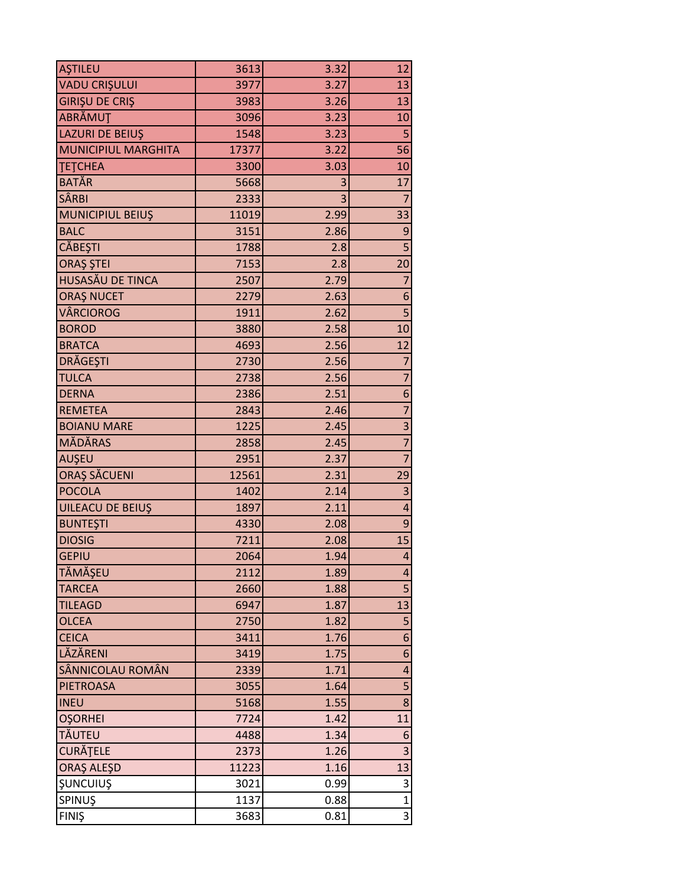| AŞTILEU                    | 3613  | 3.32 | 12                      |
|----------------------------|-------|------|-------------------------|
| <b>VADU CRIȘULUI</b>       | 3977  | 3.27 | 13                      |
| <b>GIRIŞU DE CRIŞ</b>      | 3983  | 3.26 | 13                      |
| ABRĂMUȚ                    | 3096  | 3.23 | 10                      |
| LAZURI DE BEIUŞ            | 1548  | 3.23 | 5                       |
| <b>MUNICIPIUL MARGHITA</b> | 17377 | 3.22 | 56                      |
| ТЕТСНЕА                    | 3300  | 3.03 | 10                      |
| <b>BATĂR</b>               | 5668  | 3    | 17                      |
| <b>SÂRBI</b>               | 2333  | 3    | $\overline{7}$          |
| MUNICIPIUL BEIUŞ           | 11019 | 2.99 | 33                      |
| <b>BALC</b>                | 3151  | 2.86 | 9                       |
| <b>CĂBEȘTI</b>             | 1788  | 2.8  | $\overline{5}$          |
| ORAȘ ȘTEI                  | 7153  | 2.8  | 20                      |
| HUSASĂU DE TINCA           | 2507  | 2.79 | $\overline{7}$          |
| <b>ORAŞ NUCET</b>          | 2279  | 2.63 | $\boldsymbol{6}$        |
| <b>VÂRCIOROG</b>           | 1911  | 2.62 | $\overline{5}$          |
| <b>BOROD</b>               | 3880  | 2.58 | 10 <sup>1</sup>         |
| <b>BRATCA</b>              | 4693  | 2.56 | 12                      |
| DRĂGEȘTI                   | 2730  | 2.56 | $\overline{7}$          |
| <b>TULCA</b>               | 2738  | 2.56 | $\overline{7}$          |
| <b>DERNA</b>               | 2386  | 2.51 | $\boldsymbol{6}$        |
| <b>REMETEA</b>             | 2843  | 2.46 | $\overline{7}$          |
| <b>BOIANU MARE</b>         | 1225  | 2.45 | 3                       |
| <b>MĂDĂRAS</b>             | 2858  | 2.45 | $\overline{7}$          |
| AUŞEU                      | 2951  | 2.37 | $\overline{7}$          |
| ORAŞ SĂCUENI               | 12561 | 2.31 | 29                      |
| <b>POCOLA</b>              | 1402  | 2.14 | 3                       |
| UILEACU DE BEIUŞ           | 1897  | 2.11 | $\overline{\mathbf{4}}$ |
| <b>BUNTEŞTI</b>            | 4330  | 2.08 | $\boldsymbol{9}$        |
| <b>DIOSIG</b>              | 7211  | 2.08 | 15                      |
| <b>GEPIU</b>               | 2064  | 1.94 | $\vert 4 \vert$         |
| TĂMĂȘEU                    | 2112  | 1.89 | $\vert 4 \vert$         |
| <b>TARCEA</b>              | 2660  | 1.88 | $\overline{5}$          |
| <b>TILEAGD</b>             | 6947  | 1.87 | 13                      |
| <b>OLCEA</b>               | 2750  | 1.82 | 5                       |
| <b>CEICA</b>               | 3411  | 1.76 | $\boldsymbol{6}$        |
| LĂZĂRENI                   | 3419  | 1.75 | $6 \mid$                |
| SÂNNICOLAU ROMÂN           | 2339  | 1.71 | $\overline{\mathbf{r}}$ |
| <b>PIETROASA</b>           | 3055  | 1.64 | 5                       |
| <b>INEU</b>                | 5168  | 1.55 | 8                       |
| <b>OŞORHEI</b>             | 7724  | 1.42 | 11                      |
| <b>TĂUTEU</b>              | 4488  | 1.34 | 6                       |
| <b>CURĂȚELE</b>            | 2373  | 1.26 | 3                       |
| ORAȘ ALEȘD                 | 11223 | 1.16 | 13                      |
| <b>ŞUNCUIUŞ</b>            | 3021  | 0.99 | 3                       |
| SPINUŞ                     | 1137  | 0.88 | $\overline{1}$          |
| <b>FINIŞ</b>               | 3683  | 0.81 | $\overline{3}$          |